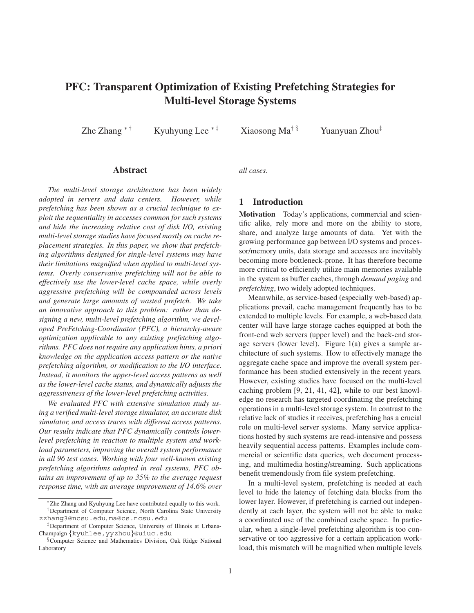# **PFC: Transparent Optimization of Existing Prefetching Strategies for Multi-level Storage Systems**

Zhe Zhang <sup>∗†</sup> Kyuhyung Lee <sup>∗‡</sup> Xiaosong Ma<sup>†§</sup> Yuanyuan Zhou<sup>‡</sup>

### **Abstract**

*The multi-level storage architecture has been widely adopted in servers and data centers. However, while prefetching has been shown as a crucial technique to exploit the sequentiality in accesses common for such systems and hide the increasing relative cost of disk I/O, existing multi-level storage studies have focused mostly on cache replacement strategies. In this paper, we show that prefetching algorithms designed for single-level systems may have their limitations magnified when applied to multi-level systems. Overly conservative prefetching will not be able to effectively use the lower-level cache space, while overly aggressive prefetching will be compounded across levels and generate large amounts of wasted prefetch. We take an innovative approach to this problem: rather than designing a new, multi-level prefetching algorithm, we developed PreFetching-Coordinator (PFC), a hierarchy-aware optimization applicable to any existing prefetching algorithms. PFC does not require any application hints, a priori knowledge on the application access pattern or the native prefetching algorithm, or modification to the I/O interface. Instead, it monitors the upper-level access patterns as well as the lower-level cache status, and dynamically adjusts the aggressiveness of the lower-level prefetching activities.*

*We evaluated PFC with extensive simulation study using a verified multi-level storage simulator, an accurate disk simulator, and access traces with different access patterns. Our results indicate that PFC dynamically controls lowerlevel prefetching in reaction to multiple system and workload parameters, improving the overall system performance in all 96 test cases. Working with four well-known existing prefetching algorithms adopted in real systems, PFC obtains an improvement of up to 35% to the average request response time, with an average improvement of 14.6% over* *all cases.*

### **1 Introduction**

**Motivation** Today's applications, commercial and scientific alike, rely more and more on the ability to store, share, and analyze large amounts of data. Yet with the growing performance gap between I/O systems and processor/memory units, data storage and accesses are inevitably becoming more bottleneck-prone. It has therefore become more critical to efficiently utilize main memories available in the system as buffer caches, through *demand paging* and *prefetching*, two widely adopted techniques.

Meanwhile, as service-based (especially web-based) applications prevail, cache management frequently has to be extended to multiple levels. For example, a web-based data center will have large storage caches equipped at both the front-end web servers (upper level) and the back-end storage servers (lower level). Figure 1(a) gives a sample architecture of such systems. How to effectively manage the aggregate cache space and improve the overall system performance has been studied extensively in the recent years. However, existing studies have focused on the multi-level caching problem [9, 21, 41, 42], while to our best knowledge no research has targeted coordinating the prefetching operations in a multi-level storage system. In contrast to the relative lack of studies it receives, prefetching has a crucial role on multi-level server systems. Many service applications hosted by such systems are read-intensive and possess heavily sequential access patterns. Examples include commercial or scientific data queries, web document processing, and multimedia hosting/streaming. Such applications benefit tremendously from file system prefetching.

In a multi-level system, prefetching is needed at each level to hide the latency of fetching data blocks from the lower layer. However, if prefetching is carried out independently at each layer, the system will not be able to make a coordinated use of the combined cache space. In particular, when a single-level prefetching algorithm is too conservative or too aggressive for a certain application workload, this mismatch will be magnified when multiple levels

<sup>∗</sup>Zhe Zhang and Kyuhyung Lee have contributed equally to this work. †Department of Computer Science, North Carolina State University

zzhang3@ncsu.edu, ma@cs.ncsu.edu ‡Department of Computer Science, University of Illinois at Urbana-

Champaign {kyuhlee,yyzhou}@uiuc.edu

<sup>§</sup>Computer Science and Mathematics Division, Oak Ridge National Laboratory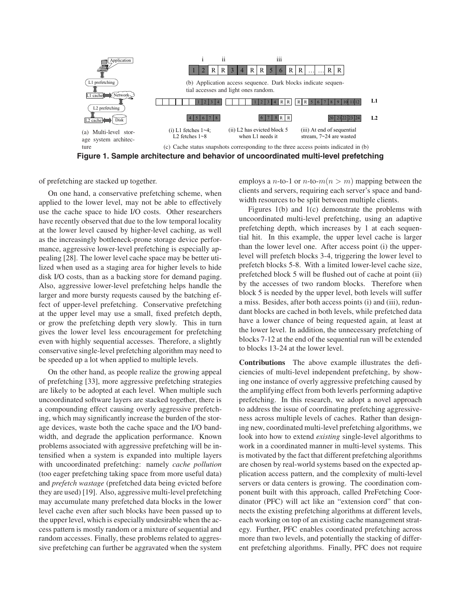

**Figure 1. Sample architecture and behavior of uncoordinated multi-level prefetching**

of prefetching are stacked up together.

On one hand, a conservative prefetching scheme, when applied to the lower level, may not be able to effectively use the cache space to hide I/O costs. Other researchers have recently observed that due to the low temporal locality at the lower level caused by higher-level caching, as well as the increasingly bottleneck-prone storage device performance, aggressive lower-level prefetching is especially appealing [28]. The lower level cache space may be better utilized when used as a staging area for higher levels to hide disk I/O costs, than as a backing store for demand paging. Also, aggressive lower-level prefetching helps handle the larger and more bursty requests caused by the batching effect of upper-level prefetching. Conservative prefetching at the upper level may use a small, fixed prefetch depth, or grow the prefetching depth very slowly. This in turn gives the lower level less encouragement for prefetching even with highly sequential accesses. Therefore, a slightly conservative single-level prefetching algorithm may need to be speeded up a lot when applied to multiple levels.

On the other hand, as people realize the growing appeal of prefetching [33], more aggressive prefetching strategies are likely to be adopted at each level. When multiple such uncoordinated software layers are stacked together, there is a compounding effect causing overly aggressive prefetching, which may significantly increase the burden of the storage devices, waste both the cache space and the I/O bandwidth, and degrade the application performance. Known problems associated with aggressive prefetching will be intensified when a system is expanded into multiple layers with uncoordinated prefetching: namely *cache pollution* (too eager prefetching taking space from more useful data) and *prefetch wastage* (prefetched data being evicted before they are used) [19]. Also, aggressive multi-level prefetching may accumulate many prefetched data blocks in the lower level cache even after such blocks have been passed up to the upper level, which is especially undesirable when the access pattern is mostly random or a mixture of sequential and random accesses. Finally, these problems related to aggressive prefetching can further be aggravated when the system

employs a *n*-to-1 or *n*-to- $m(n>m)$  mapping between the clients and servers, requiring each server's space and bandwidth resources to be split between multiple clients.

Figures 1(b) and 1(c) demonstrate the problems with uncoordinated multi-level prefetching, using an adaptive prefetching depth, which increases by 1 at each sequential hit. In this example, the upper level cache is larger than the lower level one. After access point (i) the upperlevel will prefetch blocks 3-4, triggering the lower level to prefetch blocks 5-8. With a limited lower-level cache size, prefetched block 5 will be flushed out of cache at point (ii) by the accesses of two random blocks. Therefore when block 5 is needed by the upper level, both levels will suffer a miss. Besides, after both access points (i) and (iii), redundant blocks are cached in both levels, while prefetched data have a lower chance of being requested again, at least at the lower level. In addition, the unnecessary prefetching of blocks 7-12 at the end of the sequential run will be extended to blocks 13-24 at the lower level.

**Contributions** The above example illustrates the deficiencies of multi-level independent prefetching, by showing one instance of overly aggressive prefetching caused by the amplifying effect from both leverls performing adaptive prefetching. In this research, we adopt a novel approach to address the issue of coordinating prefetching aggressiveness across multiple levels of caches. Rather than designing new, coordinated multi-level prefetching algorithms, we look into how to extend *existing* single-level algorithms to work in a coordinated manner in multi-level systems. This is motivated by the fact that different prefetching algorithms are chosen by real-world systems based on the expected application access pattern, and the complexity of multi-level servers or data centers is growing. The coordination component built with this approach, called PreFetching Coordinator (PFC) will act like an "extension cord" that connects the existing prefetching algorithms at different levels, each working on top of an existing cache management strategy. Further, PFC enables coordinated prefetching across more than two levels, and potentially the stacking of different prefetching algorithms. Finally, PFC does not require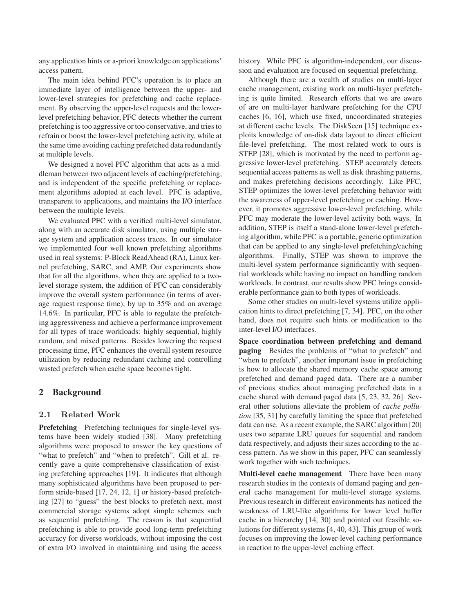any application hints or a-priori knowledge on applications' access pattern.

The main idea behind PFC's operation is to place an immediate layer of intelligence between the upper- and lower-level strategies for prefetching and cache replacement. By observing the upper-level requests and the lowerlevel prefetching behavior, PFC detects whether the current prefetching is too aggressive or too conservative, and tries to refrain or boost the lower-level prefetching activity, while at the same time avoiding caching prefetched data redundantly at multiple levels.

We designed a novel PFC algorithm that acts as a middleman between two adjacent levels of caching/prefetching, and is independent of the specific prefetching or replacement algorithms adopted at each level. PFC is adaptive, transparent to applications, and maintains the I/O interface between the multiple levels.

We evaluated PFC with a verified multi-level simulator, along with an accurate disk simulator, using multiple storage system and application access traces. In our simulator we implemented four well known prefetching algorithms used in real systems: P-Block ReadAhead (RA), Linux kernel prefetching, SARC, and AMP. Our experiments show that for all the algorithms, when they are applied to a twolevel storage system, the addition of PFC can considerably improve the overall system performance (in terms of average request response time), by up to 35% and on average 14.6%. In particular, PFC is able to regulate the prefetching aggressiveness and achieve a performance improvement for all types of trace workloads: highly sequential, highly random, and mixed patterns. Besides lowering the request processing time, PFC enhances the overall system resource utilization by reducing redundant caching and controlling wasted prefetch when cache space becomes tight.

### **2 Background**

#### **2.1 Related Work**

**Prefetching** Prefetching techniques for single-level systems have been widely studied [38]. Many prefetching algorithms were proposed to answer the key questions of "what to prefetch" and "when to prefetch". Gill et al. recently gave a quite comprehensive classification of existing prefetching approaches [19]. It indicates that although many sophisticated algorithms have been proposed to perform stride-based [17, 24, 12, 1] or history-based prefetching [27] to "guess" the best blocks to prefetch next, most commercial storage systems adopt simple schemes such as sequential prefetching. The reason is that sequential prefetching is able to provide good long-term prefetching accuracy for diverse workloads, without imposing the cost of extra I/O involved in maintaining and using the access

history. While PFC is algorithm-independent, our discussion and evaluation are focused on sequential prefetching.

Although there are a wealth of studies on multi-layer cache management, existing work on multi-layer prefetching is quite limited. Research efforts that we are aware of are on multi-layer hardware prefetching for the CPU caches [6, 16], which use fixed, uncoordinated strategies at different cache levels. The DiskSeen [15] technique exploits knowledge of on-disk data layout to direct efficient file-level prefetching. The most related work to ours is STEP [28], which is motivated by the need to perform aggressive lower-level prefetching. STEP accurately detects sequential access patterns as well as disk thrashing patterns, and makes prefetching decisions accordingly. Like PFC, STEP optimizes the lower-level prefetching behavior with the awareness of upper-level prefetching or caching. However, it promotes aggressive lower-level prefetching, while PFC may moderate the lower-level activity both ways. In addition, STEP is itself a stand-alone lower-level prefetching algorithm, while PFC is a portable, generic optimization that can be applied to any single-level prefetching/caching algorithms. Finally, STEP was shown to improve the multi-level system performance significantly with sequential workloads while having no impact on handling random workloads. In contrast, our results show PFC brings considerable performance gain to both types of workloads.

Some other studies on multi-level systems utilize application hints to direct prefetching [7, 34]. PFC, on the other hand, does not require such hints or modification to the inter-level I/O interfaces.

**Space coordination between prefetching and demand paging** Besides the problems of "what to prefetch" and "when to prefetch", another important issue in prefetching is how to allocate the shared memory cache space among prefetched and demand paged data. There are a number of previous studies about managing prefetched data in a cache shared with demand paged data [5, 23, 32, 26]. Several other solutions alleviate the problem of *cache pollution* [35, 31] by carefully limiting the space that prefetched data can use. As a recent example, the SARC algorithm [20] uses two separate LRU queues for sequential and random data respectively, and adjusts their sizes according to the access pattern. As we show in this paper, PFC can seamlessly work together with such techniques.

**Multi-level cache management** There have been many research studies in the contexts of demand paging and general cache management for multi-level storage systems. Previous research in different environments has noticed the weakness of LRU-like algorithms for lower level buffer cache in a hierarchy [14, 30] and pointed out feasible solutions for different systems [4, 40, 43]. This group of work focuses on improving the lower-level caching performance in reaction to the upper-level caching effect.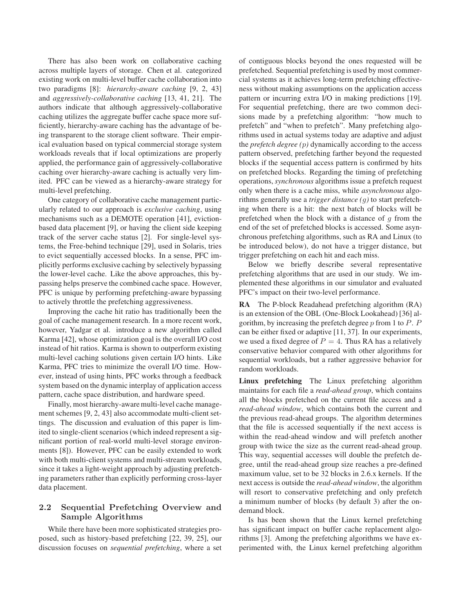There has also been work on collaborative caching across multiple layers of storage. Chen et al. categorized existing work on multi-level buffer cache collaboration into two paradigms [8]: *hierarchy-aware caching* [9, 2, 43] and *aggressively-collaborative caching* [13, 41, 21]. The authors indicate that although aggressively-collaborative caching utilizes the aggregate buffer cache space more sufficiently, hierarchy-aware caching has the advantage of being transparent to the storage client software. Their empirical evaluation based on typical commercial storage system workloads reveals that if local optimizations are properly applied, the performance gain of aggressively-collaborative caching over hierarchy-aware caching is actually very limited. PFC can be viewed as a hierarchy-aware strategy for multi-level prefetching.

One category of collaborative cache management particularly related to our approach is *exclusive caching*, using mechanisms such as a DEMOTE operation [41], evictionbased data placement [9], or having the client side keeping track of the server cache status [2]. For single-level systems, the Free-behind technique [29], used in Solaris, tries to evict sequentially accessed blocks. In a sense, PFC implicitly performs exclusive caching by selectively bypassing the lower-level cache. Like the above approaches, this bypassing helps preserve the combined cache space. However, PFC is unique by performing prefetching-aware bypassing to actively throttle the prefetching aggressiveness.

Improving the cache hit ratio has traditionally been the goal of cache management research. In a more recent work, however, Yadgar et al. introduce a new algorithm called Karma [42], whose optimization goal is the overall I/O cost instead of hit ratios. Karma is shown to outperform existing multi-level caching solutions given certain I/O hints. Like Karma, PFC tries to minimize the overall I/O time. However, instead of using hints, PFC works through a feedback system based on the dynamic interplay of application access pattern, cache space distribution, and hardware speed.

Finally, most hierarchy-aware multi-level cache management schemes [9, 2, 43] also accommodate multi-client settings. The discussion and evaluation of this paper is limited to single-client scenarios (which indeed represent a significant portion of real-world multi-level storage environments [8]). However, PFC can be easily extended to work with both multi-client systems and multi-stream workloads, since it takes a light-weight approach by adjusting prefetching parameters rather than explicitly performing cross-layer data placement.

### **2.2 Sequential Prefetching Overview and Sample Algorithms**

While there have been more sophisticated strategies proposed, such as history-based prefetching [22, 39, 25], our discussion focuses on *sequential prefetching*, where a set of contiguous blocks beyond the ones requested will be prefetched. Sequential prefetching is used by most commercial systems as it achieves long-term prefetching effectiveness without making assumptions on the application access pattern or incurring extra I/O in making predictions [19]. For sequential prefetching, there are two common decisions made by a prefetching algorithm: "how much to prefetch" and "when to prefetch". Many prefetching algorithms used in actual systems today are adaptive and adjust the *prefetch degree (*p*)* dynamically according to the access pattern observed, prefetching farther beyond the requested blocks if the sequential access pattern is confirmed by hits on prefetched blocks. Regarding the timing of prefetching operations, *synchronous* algorithms issue a prefetch request only when there is a cache miss, while *asynchronous* algorithms generally use a *trigger distance (*g*)* to start prefetching when there is a hit: the next batch of blocks will be prefetched when the block with a distance of  $q$  from the end of the set of prefetched blocks is accessed. Some asynchronous prefetching algorithms, such as RA and Linux (to be introduced below), do not have a trigger distance, but trigger prefetching on each hit and each miss.

Below we briefly describe several representative prefetching algorithms that are used in our study. We implemented these algorithms in our simulator and evaluated PFC's impact on their two-level performance.

**RA** The P-block Readahead prefetching algorithm (RA) is an extension of the OBL (One-Block Lookahead) [36] algorithm, by increasing the prefetch degree  $p$  from 1 to  $P$ .  $P$ can be either fixed or adaptive [11, 37]. In our experiments, we used a fixed degree of  $P = 4$ . Thus RA has a relatively conservative behavior compared with other algorithms for sequential workloads, but a rather aggressive behavior for random workloads.

**Linux prefetching** The Linux prefetching algorithm maintains for each file a *read-ahead group*, which contains all the blocks prefetched on the current file access and a *read-ahead window*, which contains both the current and the previous read-ahead groups. The algorithm determines that the file is accessed sequentially if the next access is within the read-ahead window and will prefetch another group with twice the size as the current read-ahead group. This way, sequential accesses will double the prefetch degree, until the read-ahead group size reaches a pre-defined maximum value, set to be 32 blocks in 2.6.x kernels. If the next access is outside the *read-ahead window*, the algorithm will resort to conservative prefetching and only prefetch a minimum number of blocks (by default 3) after the ondemand block.

Is has been shown that the Linux kernel prefetching has significant impact on buffer cache replacement algorithms [3]. Among the prefetching algorithms we have experimented with, the Linux kernel prefetching algorithm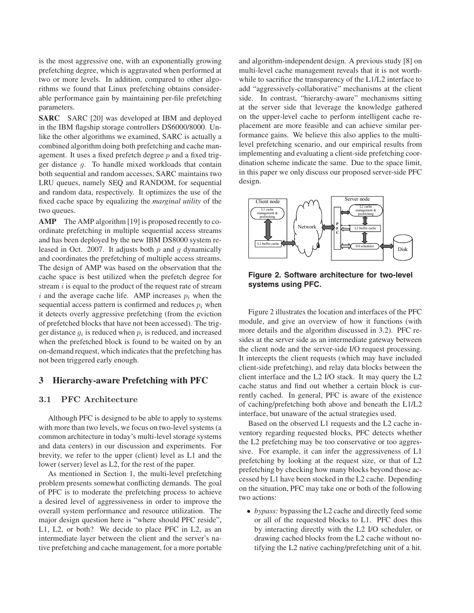is the most aggressive one, with an exponentially growing prefetching degree, which is aggravated when performed at two or more levels. In addition, compared to other algorithms we found that Linux prefetching obtains considerable performance gain by maintaining per-file prefetching parameters.

**SARC** SARC [20] was developed at IBM and deployed in the IBM flagship storage controllers DS6000/8000. Unlike the other algorithms we examined, SARC is actually a combined algorithm doing both prefetching and cache management. It uses a fixed prefetch degree  $p$  and a fixed trigger distance g. To handle mixed workloads that contain both sequential and random accesses, SARC maintains two LRU queues, namely SEQ and RANDOM, for sequential and random data, respectively. It optimizes the use of the fixed cache space by equalizing the *marginal utility* of the two queues.

**AMP** The AMP algorithm [19] is proposed recently to coordinate prefetching in multiple sequential access streams and has been deployed by the new IBM DS8000 system released in Oct. 2007. It adjusts both  $p$  and  $q$  dynamically and coordinates the prefetching of multiple access streams. The design of AMP was based on the observation that the cache space is best utilized when the prefetch degree for stream  $i$  is equal to the product of the request rate of stream  $i$  and the average cache life. AMP increases  $p_i$  when the sequential access pattern is confirmed and reduces  $p_i$  when it detects overly aggressive prefetching (from the eviction of prefetched blocks that have not been accessed). The trigger distance  $g_i$  is reduced when  $p_i$  is reduced, and increased when the prefetched block is found to be waited on by an on-demand request, which indicates that the prefetching has not been triggered early enough.

### **3 Hierarchy-aware Prefetching with PFC**

### **3.1 PFC Architecture**

Although PFC is designed to be able to apply to systems with more than two levels, we focus on two-level systems (a common architecture in today's multi-level storage systems and data centers) in our discussion and experiments. For brevity, we refer to the upper (client) level as L1 and the lower (server) level as L2, for the rest of the paper.

As mentioned in Section 1, the multi-level prefetching problem presents somewhat conflicting demands. The goal of PFC is to moderate the prefetching process to achieve a desired level of aggressiveness in order to improve the overall system performance and resource utilization. The major design question here is "where should PFC reside", L1, L2, or both? We decide to place PFC in L2, as an intermediate layer between the client and the server's native prefetching and cache management, for a more portable and algorithm-independent design. A previous study [8] on multi-level cache management reveals that it is not worthwhile to sacrifice the transparency of the L1/L2 interface to add "aggressively-collaborative" mechanisms at the client side. In contrast, "hierarchy-aware" mechanisms sitting at the server side that leverage the knowledge gathered on the upper-level cache to perform intelligent cache replacement are more feasible and can achieve similar performance gains. We believe this also applies to the multilevel prefetching scenario, and our empirical results from implementing and evaluating a client-side prefetching coordination scheme indicate the same. Due to the space limit, in this paper we only discuss our proposed server-side PFC design.



**Figure 2. Software architecture for two-level systems using PFC.**

Figure 2 illustrates the location and interfaces of the PFC module, and give an overview of how it functions (with more details and the algorithm discussed in 3.2). PFC resides at the server side as an intermediate gateway between the client node and the server-side I/O request processing. It intercepts the client requests (which may have included client-side prefetching), and relay data blocks between the client interface and the L2 I/O stack. It may query the L2 cache status and find out whether a certain block is currently cached. In general, PFC is aware of the existence of caching/prefetching both above and beneath the L1/L2 interface, but unaware of the actual strategies used.

Based on the observed L1 requests and the L2 cache inventory regarding requested blocks, PFC detects whether the L2 prefetching may be too conservative or too aggressive. For example, it can infer the aggressiveness of L1 prefetching by looking at the request size, or that of L2 prefetching by checking how many blocks beyond those accessed by L1 have been stocked in the L2 cache. Depending on the situation, PFC may take one or both of the following two actions:

• *bypass:* bypassing the L2 cache and directly feed some or all of the requested blocks to L1. PFC does this by interacting directly with the L2 I/O scheduler, or drawing cached blocks from the L2 cache without notifying the L2 native caching/prefetching unit of a hit.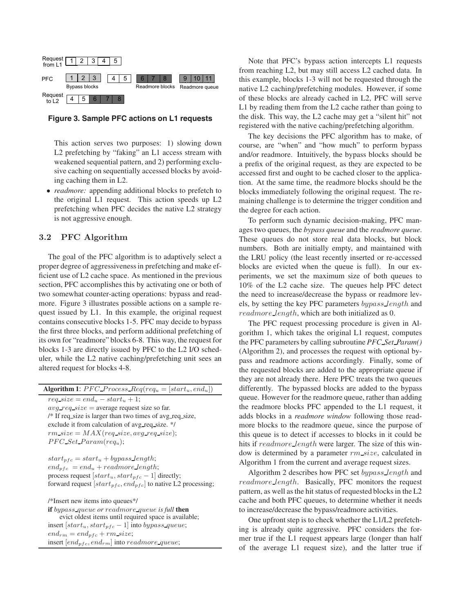

**Figure 3. Sample PFC actions on L1 requests**

This action serves two purposes: 1) slowing down L2 prefetching by "faking" an L1 access stream with weakened sequential pattern, and 2) performing exclusive caching on sequentially accessed blocks by avoiding caching them in L2.

*• readmore:* appending additional blocks to prefetch to the original L1 request. This action speeds up L2 prefetching when PFC decides the native L2 strategy is not aggressive enough.

### **3.2 PFC Algorithm**

The goal of the PFC algorithm is to adaptively select a proper degree of aggressiveness in prefetching and make efficient use of L2 cache space. As mentioned in the previous section, PFC accomplishes this by activating one or both of two somewhat counter-acting operations: bypass and readmore. Figure 3 illustrates possible actions on a sample request issued by L1. In this example, the original request contains consecutive blocks 1-5. PFC may decide to bypass the first three blocks, and perform additional prefetching of its own for "readmore" blocks 6-8. This way, the request for blocks 1-3 are directly issued by PFC to the L2 I/O scheduler, while the L2 native caching/prefetching unit sees an altered request for blocks 4-8.

| <b>Algorithm 1:</b> PFC Process $Req(req_u = [start_u, end_u])$                       |
|---------------------------------------------------------------------------------------|
| $req\_size = end_u - start_u + 1;$                                                    |
| $\alpha \nu q_{\text{req}_s}$ = average request size so far.                          |
| /* If req_size is larger than two times of avg_req_size,                              |
| exclude it from calculation of avg_req_size. */                                       |
| $rm\_size = MAX (reg\_size, avg\_req\_size);$                                         |
| $PFC\_Set\_Param(req_u);$                                                             |
|                                                                                       |
| $start_{\text{pfc}} = start_u + bypass\_length;$                                      |
| $end_{pfc} = end_u + readmore\_length;$                                               |
| process request [start <sub>u</sub> , start <sub>pfc</sub> - 1] directly;             |
| forward request [start <sub>pfc</sub> , end <sub>pfc</sub> ] to native L2 processing; |
|                                                                                       |
| /*Insert new items into queues*/                                                      |
| <b>if</b> bypass_queue or readmore_queue is full <b>then</b>                          |
| evict oldest items until required space is available;                                 |
| insert $[start_u, start_{pfc} - 1]$ into bypass_queue;                                |
| $end_{rm} = end_{pfc} + rm\_size;$                                                    |
| insert $[end_{pfc}, end_{rm}]$ into readmore queue;                                   |

Note that PFC's bypass action intercepts L1 requests from reaching L2, but may still access L2 cached data. In this example, blocks 1-3 will not be requested through the native L2 caching/prefetching modules. However, if some of these blocks are already cached in L2, PFC will serve L1 by reading them from the L2 cache rather than going to the disk. This way, the L2 cache may get a "silent hit" not registered with the native caching/prefetching algorithm.

The key decisions the PFC algorithm has to make, of course, are "when" and "how much" to perform bypass and/or readmore. Intuitively, the bypass blocks should be a prefix of the original request, as they are expected to be accessed first and ought to be cached closer to the application. At the same time, the readmore blocks should be the blocks immediately following the original request. The remaining challenge is to determine the trigger condition and the degree for each action.

To perform such dynamic decision-making, PFC manages two queues, the *bypass queue* and the *readmore queue*. These queues do not store real data blocks, but block numbers. Both are initially empty, and maintained with the LRU policy (the least recently inserted or re-accessed blocks are evicted when the queue is full). In our experiments, we set the maximum size of both queues to 10% of the L2 cache size. The queues help PFC detect the need to increase/decrease the bypass or readmore levels, by setting the key PFC parameters bypass length and readmore\_length, which are both initialized as 0.

The PFC request processing procedure is given in Algorithm 1, which takes the original L1 request, computes the PFC parameters by calling subroutine *PFC Set Param()* (Algorithm 2), and processes the request with optional bypass and readmore actions accordingly. Finally, some of the requested blocks are added to the appropriate queue if they are not already there. Here PFC treats the two queues differently. The bypassed blocks are added to the bypass queue. However for the readmore queue, rather than adding the readmore blocks PFC appended to the L1 request, it adds blocks in a *readmore window* following those readmore blocks to the readmore queue, since the purpose of this queue is to detect if accesses to blocks in it could be hits if readmore\_length were larger. The size of this window is determined by a parameter rm size, calculated in Algorithm 1 from the current and average request sizes.

Algorithm 2 describes how PFC set bypass\_length and readmore length. Basically, PFC monitors the request pattern, as well as the hit status of requested blocks in the L2 cache and both PFC queues, to determine whether it needs to increase/decrease the bypass/readmore activities.

One upfront step is to check whether the L1/L2 prefetching is already quite aggressive. PFC considers the former true if the L1 request appears large (longer than half of the average L1 request size), and the latter true if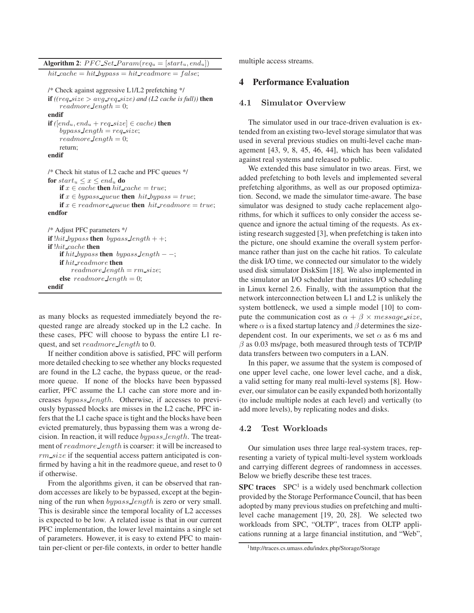Algorithm 2:  $PFC\_Set\_Param(req_u = [start_u, end_u])$  $hit\_\ncache = hit\_\bypass = hit\_\nreadmore = false;$ 

/\* Check against aggressive L1/L2 prefetching \*/

**if**  $((req\_size > avg\_req\_size)$  and  $(L2 \text{ cache is full}))$  **then** *readmore length* = 0;

**endif**

```
if ([end_u, end_u + req\_size] \in cache) then
    bypass.length = <i>req\_size</i>;readmore_length = 0;return;
endif
```

```
/* Check hit status of L2 cache and PFC queues */
for start_u \leq x \leq end_u do
    if x \in cache then hit\_{cache} = true;
    if x \in bypass\_queue then hit\_bypass = true;if x \in readmore queue then hit readmore = true;
endfor
/* Adjust PFC parameters */
```

```
if !hit\_bypass then bypass\ length + +;
if !hit cache then
   if hit\_bypass then bypass\_length - -;
    if hit readmore then
       readmore length = rm size;
   else readmore_length = 0;endif
```
as many blocks as requested immediately beyond the requested range are already stocked up in the L2 cache. In these cases, PFC will choose to bypass the entire L1 request, and set readmore length to 0.

If neither condition above is satisfied, PFC will perform more detailed checking to see whether any blocks requested are found in the L2 cache, the bypass queue, or the readmore queue. If none of the blocks have been bypassed earlier, PFC assume the L1 cache can store more and increases bypass length. Otherwise, if accesses to previously bypassed blocks are misses in the L2 cache, PFC infers that the L1 cache space is tight and the blocks have been evicted prematurely, thus bypassing them was a wrong decision. In reaction, it will reduce bypass length. The treatment of readmore length is coarser: it will be increased to  $rm\_size$  if the sequential access pattern anticipated is confirmed by having a hit in the readmore queue, and reset to 0 if otherwise.

From the algorithms given, it can be observed that random accesses are likely to be bypassed, except at the beginning of the run when bypass length is zero or very small. This is desirable since the temporal locality of L2 accesses is expected to be low. A related issue is that in our current PFC implementation, the lower level maintains a single set of parameters. However, it is easy to extend PFC to maintain per-client or per-file contexts, in order to better handle multiple access streams.

## **4 Performance Evaluation**

### **4.1 Simulator Overview**

The simulator used in our trace-driven evaluation is extended from an existing two-level storage simulator that was used in several previous studies on multi-level cache management [43, 9, 8, 45, 46, 44], which has been validated against real systems and released to public.

We extended this base simulator in two areas. First, we added prefetching to both levels and implemented several prefetching algorithms, as well as our proposed optimization. Second, we made the simulator time-aware. The base simulator was designed to study cache replacement algorithms, for which it suffices to only consider the access sequence and ignore the actual timing of the requests. As existing research suggested [3], when prefetching is taken into the picture, one should examine the overall system performance rather than just on the cache hit ratios. To calculate the disk I/O time, we connected our simulator to the widely used disk simulator DiskSim [18]. We also implemented in the simulator an I/O scheduler that imitates I/O scheduling in Linux kernel 2.6. Finally, with the assumption that the network interconnection between L1 and L2 is unlikely the system bottleneck, we used a simple model [10] to compute the communication cost as  $\alpha + \beta \times message\_size$ , where  $\alpha$  is a fixed startup latency and  $\beta$  determines the sizedependent cost. In our experiments, we set  $\alpha$  as 6 ms and  $\beta$  as 0.03 ms/page, both measured through tests of TCP/IP data transfers between two computers in a LAN.

In this paper, we assume that the system is composed of one upper level cache, one lower level cache, and a disk, a valid setting for many real multi-level systems [8]. However, our simulator can be easily expanded both horizontally (to include multiple nodes at each level) and vertically (to add more levels), by replicating nodes and disks.

### **4.2 Test Workloads**

Our simulation uses three large real-system traces, representing a variety of typical multi-level system workloads and carrying different degrees of randomness in accesses. Below we briefly describe these test traces.

**SPC traces**  $SPC<sup>1</sup>$  is a widely used benchmark collection provided by the Storage Performance Council, that has been adopted by many previous studies on prefetching and multilevel cache management [19, 20, 28]. We selected two workloads from SPC, "OLTP", traces from OLTP applications running at a large financial institution, and "Web",

<sup>&</sup>lt;sup>1</sup>http://traces.cs.umass.edu/index.php/Storage/Storage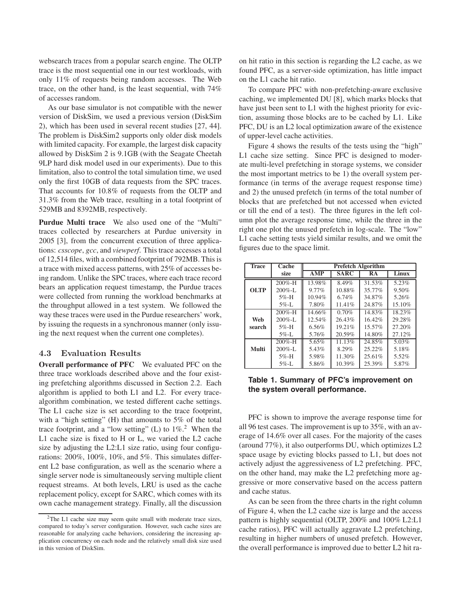websearch traces from a popular search engine. The OLTP trace is the most sequential one in our test workloads, with only 11% of requests being random accesses. The Web trace, on the other hand, is the least sequential, with 74% of accesses random.

As our base simulator is not compatible with the newer version of DiskSim, we used a previous version (DiskSim 2), which has been used in several recent studies [27, 44]. The problem is DiskSim2 supports only older disk models with limited capacity. For example, the largest disk capacity allowed by DiskSim 2 is 9.1GB (with the Seagate Cheetah 9LP hard disk model used in our experiments). Due to this limitation, also to control the total simulation time, we used only the first 10GB of data requests from the SPC traces. That accounts for 10.8% of requests from the OLTP and 31.3% from the Web trace, resulting in a total footprint of 529MB and 8392MB, respectively.

**Purdue Multi trace** We also used one of the "Multi" traces collected by researchers at Purdue university in 2005 [3], from the concurrent execution of three applications: *csscope*, *gcc*, and *viewperf*. This trace accesses a total of 12,514 files, with a combined footprint of 792MB. This is a trace with mixed access patterns, with 25% of accesses being random. Unlike the SPC traces, where each trace record bears an application request timestamp, the Purdue traces were collected from running the workload benchmarks at the throughput allowed in a test system. We followed the way these traces were used in the Purdue researchers' work, by issuing the requests in a synchronous manner (only issuing the next request when the current one completes).

### **4.3 Evaluation Results**

**Overall performance of PFC** We evaluated PFC on the three trace workloads described above and the four existing prefetching algorithms discussed in Section 2.2. Each algorithm is applied to both L1 and L2. For every tracealgorithm combination, we tested different cache settings. The L1 cache size is set according to the trace footprint, with a "high setting" (H) that amounts to 5% of the total trace footprint, and a "low setting" (L) to  $1\%$ .<sup>2</sup> When the L1 cache size is fixed to H or L, we varied the L2 cache size by adjusting the L2:L1 size ratio, using four configurations: 200%, 100%, 10%, and 5%. This simulates different L2 base configuration, as well as the scenario where a single server node is simultaneously serving multiple client request streams. At both levels, LRU is used as the cache replacement policy, except for SARC, which comes with its own cache management strategy. Finally, all the discussion

on hit ratio in this section is regarding the L2 cache, as we found PFC, as a server-side optimization, has little impact on the L1 cache hit ratio.

To compare PFC with non-prefetching-aware exclusive caching, we implemented DU [8], which marks blocks that have just been sent to L1 with the highest priority for eviction, assuming those blocks are to be cached by L1. Like PFC, DU is an L2 local optimization aware of the existence of upper-level cache activities.

Figure 4 shows the results of the tests using the "high" L1 cache size setting. Since PFC is designed to moderate multi-level prefetching in storage systems, we consider the most important metrics to be 1) the overall system performance (in terms of the average request response time) and 2) the unused prefetch (in terms of the total number of blocks that are prefetched but not accessed when evicted or till the end of a test). The three figures in the left column plot the average response time, while the three in the right one plot the unused prefetch in log-scale. The "low" L1 cache setting tests yield similar results, and we omit the figures due to the space limit.

| <b>Trace</b> | Cache       | <b>Prefetch Algorithm</b> |             |        |        |
|--------------|-------------|---------------------------|-------------|--------|--------|
|              | size        | AMP                       | <b>SARC</b> | RA     | Linux  |
|              | $200\% - H$ | 13.98%                    | 8.49%       | 31.53% | 5.23%  |
| <b>OLTP</b>  | 200%-L      | $9.77\%$                  | 10.88%      | 35.77% | 9.50%  |
|              | $5% - H$    | 10.94%                    | 6.74%       | 34.87% | 5.26%  |
|              | $5\%$ -L    | 7.80%                     | $11.41\%$   | 24.87% | 15.10% |
|              | $200\% - H$ | 14.66%                    | 0.70%       | 14.83% | 18.23% |
| Web          | $200\% - L$ | 12.54%                    | 26.43%      | 16.42% | 29.28% |
| search       | $5% - H$    | 6.56%                     | 19.21%      | 15.57% | 27.20% |
|              | $5% -1$ .   | 5.76%                     | 20.59%      | 14.80% | 27.12% |
|              | $200\% - H$ | 5.65%                     | 11.13%      | 24.85% | 5.03%  |
| Multi        | $200\% - L$ | 5.43%                     | 8.29%       | 25.22% | 5.18%  |
|              | $5% - H$    | 5.98%                     | 11.30%      | 25.61% | 5.52%  |
|              | $5\%$ -L    | 5.86%                     | 10.39%      | 25.39% | 5.87%  |

### **Table 1. Summary of PFC's improvement on the system overall performance.**

PFC is shown to improve the average response time for all 96 test cases. The improvement is up to 35%, with an average of 14.6% over all cases. For the majority of the cases (around 77%), it also outperforms DU, which optimizes L2 space usage by evicting blocks passed to L1, but does not actively adjust the aggressiveness of L2 prefetching. PFC, on the other hand, may make the L2 prefetching more aggressive or more conservative based on the access pattern and cache status.

As can be seen from the three charts in the right column of Figure 4, when the L2 cache size is large and the access pattern is highly sequential (OLTP, 200% and 100% L2:L1 cache ratios), PFC will actually aggravate L2 prefetching, resulting in higher numbers of unused prefetch. However, the overall performance is improved due to better L2 hit ra-

 $2$ The L1 cache size may seem quite small with moderate trace sizes, compared to today's server configuration. However, such cache sizes are reasonable for analyzing cache behaviors, considering the increasing application concurrency on each node and the relatively small disk size used in this version of DiskSim.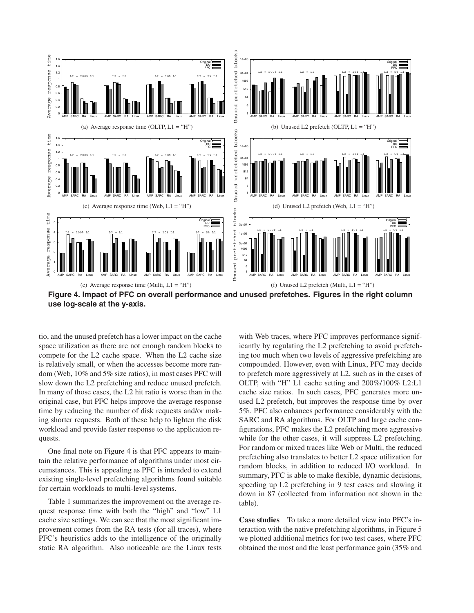

tio, and the unused prefetch has a lower impact on the cache space utilization as there are not enough random blocks to compete for the L2 cache space. When the L2 cache size is relatively small, or when the accesses become more random (Web, 10% and 5% size ratios), in most cases PFC will slow down the L2 prefetching and reduce unused prefetch. In many of those cases, the L2 hit ratio is worse than in the original case, but PFC helps improve the average response time by reducing the number of disk requests and/or making shorter requests. Both of these help to lighten the disk workload and provide faster response to the application requests.

One final note on Figure 4 is that PFC appears to maintain the relative performance of algorithms under most circumstances. This is appealing as PFC is intended to extend existing single-level prefetching algorithms found suitable for certain workloads to multi-level systems.

Table 1 summarizes the improvement on the average request response time with both the "high" and "low" L1 cache size settings. We can see that the most significant improvement comes from the RA tests (for all traces), where PFC's heuristics adds to the intelligence of the originally static RA algorithm. Also noticeable are the Linux tests

with Web traces, where PFC improves performance significantly by regulating the L2 prefetching to avoid prefetching too much when two levels of aggressive prefetching are compounded. However, even with Linux, PFC may decide to prefetch more aggressively at L2, such as in the cases of OLTP, with "H" L1 cache setting and 200%/100% L2:L1 cache size ratios. In such cases, PFC generates more unused L2 prefetch, but improves the response time by over 5%. PFC also enhances performance considerably with the SARC and RA algorithms. For OLTP and large cache configurations, PFC makes the L2 prefetching more aggressive while for the other cases, it will suppress L2 prefetching. For random or mixed traces like Web or Multi, the reduced prefetching also translates to better L2 space utilization for random blocks, in addition to reduced I/O workload. In summary, PFC is able to make flexible, dynamic decisions, speeding up L2 prefetching in 9 test cases and slowing it down in 87 (collected from information not shown in the table).

**Case studies** To take a more detailed view into PFC's interaction with the native prefetching algorithms, in Figure 5 we plotted additional metrics for two test cases, where PFC obtained the most and the least performance gain (35% and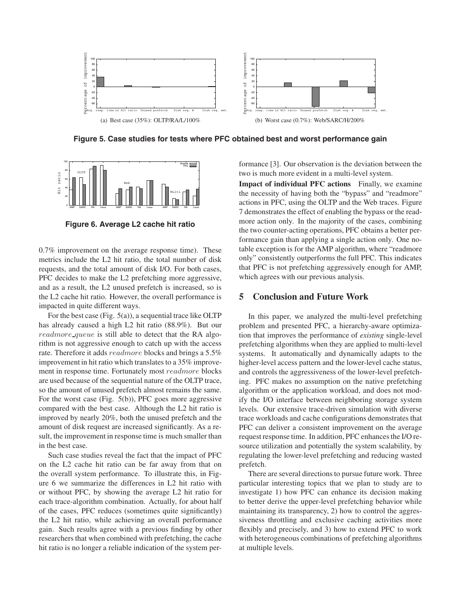

**Figure 5. Case studies for tests where PFC obtained best and worst performance gain**



**Figure 6. Average L2 cache hit ratio**

0.7% improvement on the average response time). These metrics include the L2 hit ratio, the total number of disk requests, and the total amount of disk I/O. For both cases, PFC decides to make the L2 prefetching more aggressive, and as a result, the L2 unused prefetch is increased, so is the L2 cache hit ratio. However, the overall performance is impacted in quite different ways.

For the best case (Fig. 5(a)), a sequential trace like OLTP has already caused a high L2 hit ratio (88.9%). But our readmore queue is still able to detect that the RA algorithm is not aggressive enough to catch up with the access rate. Therefore it adds readmore blocks and brings a 5.5% improvement in hit ratio which translates to a 35% improvement in response time. Fortunately most readmore blocks are used because of the sequential nature of the OLTP trace, so the amount of unused prefetch almost remains the same. For the worst case (Fig. 5(b)), PFC goes more aggressive compared with the best case. Although the L2 hit ratio is improved by nearly 20%, both the unused prefetch and the amount of disk request are increased significantly. As a result, the improvement in response time is much smaller than in the best case.

Such case studies reveal the fact that the impact of PFC on the L2 cache hit ratio can be far away from that on the overall system performance. To illustrate this, in Figure 6 we summarize the differences in L2 hit ratio with or without PFC, by showing the average L2 hit ratio for each trace-algorithm combination. Actually, for about half of the cases, PFC reduces (sometimes quite significantly) the L2 hit ratio, while achieving an overall performance gain. Such results agree with a previous finding by other researchers that when combined with prefetching, the cache hit ratio is no longer a reliable indication of the system performance [3]. Our observation is the deviation between the two is much more evident in a multi-level system.

**Impact of individual PFC actions** Finally, we examine the necessity of having both the "bypass" and "readmore" actions in PFC, using the OLTP and the Web traces. Figure 7 demonstrates the effect of enabling the bypass or the readmore action only. In the majority of the cases, combining the two counter-acting operations, PFC obtains a better performance gain than applying a single action only. One notable exception is for the AMP algorithm, where "readmore only" consistently outperforms the full PFC. This indicates that PFC is not prefetching aggressively enough for AMP, which agrees with our previous analysis.

### **5 Conclusion and Future Work**

In this paper, we analyzed the multi-level prefetching problem and presented PFC, a hierarchy-aware optimization that improves the performance of *existing* single-level prefetching algorithms when they are applied to multi-level systems. It automatically and dynamically adapts to the higher-level access pattern and the lower-level cache status, and controls the aggressiveness of the lower-level prefetching. PFC makes no assumption on the native prefetching algorithm or the application workload, and does not modify the I/O interface between neighboring storage system levels. Our extensive trace-driven simulation with diverse trace workloads and cache configurations demonstrates that PFC can deliver a consistent improvement on the average request response time. In addition, PFC enhances the I/O resource utilization and potentially the system scalability, by regulating the lower-level prefetching and reducing wasted prefetch.

There are several directions to pursue future work. Three particular interesting topics that we plan to study are to investigate 1) how PFC can enhance its decision making to better derive the upper-level prefetching behavior while maintaining its transparency, 2) how to control the aggressiveness throttling and exclusive caching activities more flexibly and precisely, and 3) how to extend PFC to work with heterogeneous combinations of prefetching algorithms at multiple levels.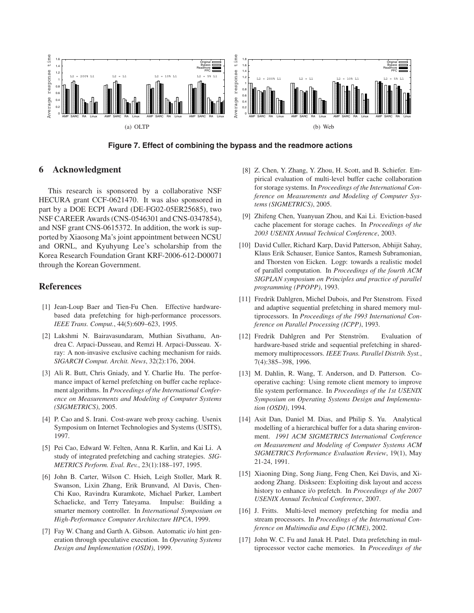

**Figure 7. Effect of combining the bypass and the readmore actions**

### **6 Acknowledgment**

This research is sponsored by a collaborative NSF HECURA grant CCF-0621470. It was also sponsored in part by a DOE ECPI Award (DE-FG02-05ER25685), two NSF CAREER Awards (CNS-0546301 and CNS-0347854), and NSF grant CNS-0615372. In addition, the work is supported by Xiaosong Ma's joint appointment between NCSU and ORNL, and Kyuhyung Lee's scholarship from the Korea Research Foundation Grant KRF-2006-612-D00071 through the Korean Government.

### **References**

- [1] Jean-Loup Baer and Tien-Fu Chen. Effective hardwarebased data prefetching for high-performance processors. *IEEE Trans. Comput.*, 44(5):609–623, 1995.
- [2] Lakshmi N. Bairavasundaram, Muthian Sivathanu, Andrea C. Arpaci-Dusseau, and Remzi H. Arpaci-Dusseau. Xray: A non-invasive exclusive caching mechanism for raids. *SIGARCH Comput. Archit. News*, 32(2):176, 2004.
- [3] Ali R. Butt, Chris Gniady, and Y. Charlie Hu. The performance impact of kernel prefetching on buffer cache replacement algorithms. In *Proceedings of the International Conference on Measurements and Modeling of Computer Systems (SIGMETRICS)*, 2005.
- [4] P. Cao and S. Irani. Cost-aware web proxy caching. Usenix Symposium on Internet Technologies and Systems (USITS), 1997.
- [5] Pei Cao, Edward W. Felten, Anna R. Karlin, and Kai Li. A study of integrated prefetching and caching strategies. *SIG-METRICS Perform. Eval. Rev.*, 23(1):188–197, 1995.
- [6] John B. Carter, Wilson C. Hsieh, Leigh Stoller, Mark R. Swanson, Lixin Zhang, Erik Brunvand, Al Davis, Chen-Chi Kuo, Ravindra Kuramkote, Michael Parker, Lambert Schaelicke, and Terry Tateyama. Impulse: Building a smarter memory controller. In *International Symposium on High-Performance Computer Architecture HPCA*, 1999.
- [7] Fay W. Chang and Garth A. Gibson. Automatic i/o hint generation through speculative execution. In *Operating Systems Design and Implementation (OSDI)*, 1999.
- [8] Z. Chen, Y. Zhang, Y. Zhou, H. Scott, and B. Schiefer. Empirical evaluation of multi-level buffer cache collaboration for storage systems. In *Proceedings of the International Conference on Measurements and Modeling of Computer Systems (SIGMETRICS)*, 2005.
- [9] Zhifeng Chen, Yuanyuan Zhou, and Kai Li. Eviction-based cache placement for storage caches. In *Proceedings of the 2003 USENIX Annual Technical Conference*, 2003.
- [10] David Culler, Richard Karp, David Patterson, Abhijit Sahay, Klaus Erik Schauser, Eunice Santos, Ramesh Subramonian, and Thorsten von Eicken. Logp: towards a realistic model of parallel computation. In *Proceedings of the fourth ACM SIGPLAN symposium on Principles and practice of parallel programming (PPOPP)*, 1993.
- [11] Fredrik Dahlgren, Michel Dubois, and Per Stenstrom. Fixed and adaptive sequential prefetching in shared memory multiprocessors. In *Proceedings of the 1993 International Conference on Parallel Processing (ICPP)*, 1993.
- [12] Fredrik Dahlgren and Per Stenström. Evaluation of hardware-based stride and sequential prefetching in sharedmemory multiprocessors. *IEEE Trans. Parallel Distrib. Syst.*, 7(4):385–398, 1996.
- [13] M. Dahlin, R. Wang, T. Anderson, and D. Patterson. Cooperative caching: Using remote client memory to improve file system performance. In *Proceedings of the 1st USENIX Symposium on Operating Systems Design and Implementation (OSDI)*, 1994.
- [14] Asit Dan, Daniel M. Dias, and Philip S. Yu. Analytical modelling of a hierarchical buffer for a data sharing environment. *1991 ACM SIGMETRICS International Conference on Measurement and Modeling of Computer Systems ACM SIGMETRICS Performance Evaluation Review*, 19(1), May 21-24, 1991.
- [15] Xiaoning Ding, Song Jiang, Feng Chen, Kei Davis, and Xiaodong Zhang. Diskseen: Exploiting disk layout and access history to enhance i/o prefetch. In *Proceedings of the 2007 USENIX Annual Technical Conference*, 2007.
- [16] J. Fritts. Multi-level memory prefetching for media and stream processors. In *Proceedings of the International Conference on Multimedia and Expo (ICME)*, 2002.
- [17] John W. C. Fu and Janak H. Patel. Data prefetching in multiprocessor vector cache memories. In *Proceedings of the*